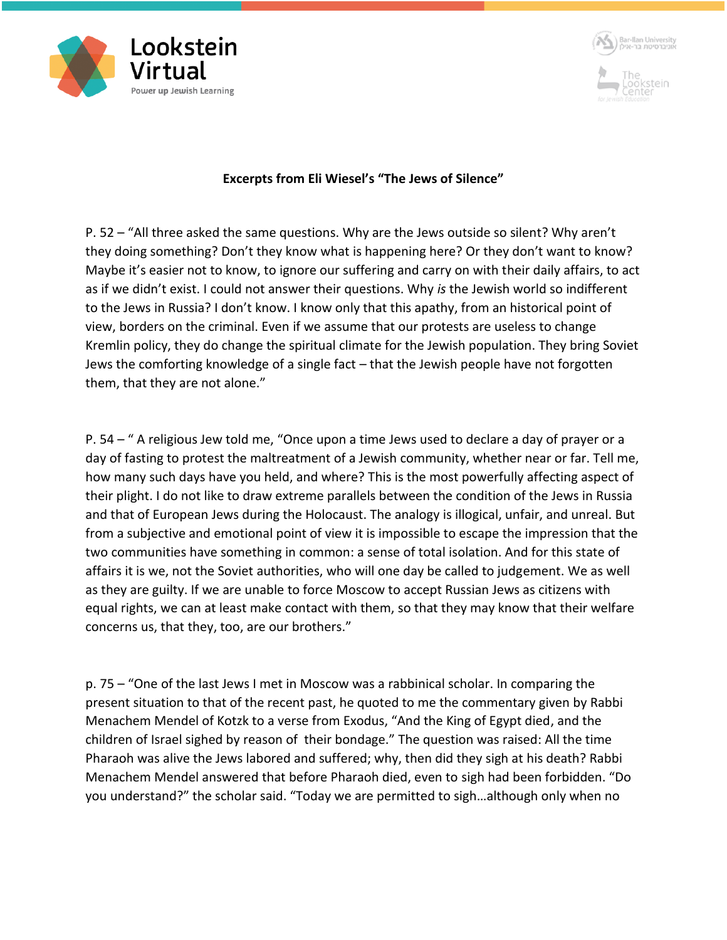



## **Excerpts from Eli Wiesel's "The Jews of Silence"**

P. 52 – "All three asked the same questions. Why are the Jews outside so silent? Why aren't they doing something? Don't they know what is happening here? Or they don't want to know? Maybe it's easier not to know, to ignore our suffering and carry on with their daily affairs, to act as if we didn't exist. I could not answer their questions. Why *is* the Jewish world so indifferent to the Jews in Russia? I don't know. I know only that this apathy, from an historical point of view, borders on the criminal. Even if we assume that our protests are useless to change Kremlin policy, they do change the spiritual climate for the Jewish population. They bring Soviet Jews the comforting knowledge of a single fact – that the Jewish people have not forgotten them, that they are not alone."

P. 54 – " A religious Jew told me, "Once upon a time Jews used to declare a day of prayer or a day of fasting to protest the maltreatment of a Jewish community, whether near or far. Tell me, how many such days have you held, and where? This is the most powerfully affecting aspect of their plight. I do not like to draw extreme parallels between the condition of the Jews in Russia and that of European Jews during the Holocaust. The analogy is illogical, unfair, and unreal. But from a subjective and emotional point of view it is impossible to escape the impression that the two communities have something in common: a sense of total isolation. And for this state of affairs it is we, not the Soviet authorities, who will one day be called to judgement. We as well as they are guilty. If we are unable to force Moscow to accept Russian Jews as citizens with equal rights, we can at least make contact with them, so that they may know that their welfare concerns us, that they, too, are our brothers."

p. 75 – "One of the last Jews I met in Moscow was a rabbinical scholar. In comparing the present situation to that of the recent past, he quoted to me the commentary given by Rabbi Menachem Mendel of Kotzk to a verse from Exodus, "And the King of Egypt died, and the children of Israel sighed by reason of their bondage." The question was raised: All the time Pharaoh was alive the Jews labored and suffered; why, then did they sigh at his death? Rabbi Menachem Mendel answered that before Pharaoh died, even to sigh had been forbidden. "Do you understand?" the scholar said. "Today we are permitted to sigh…although only when no